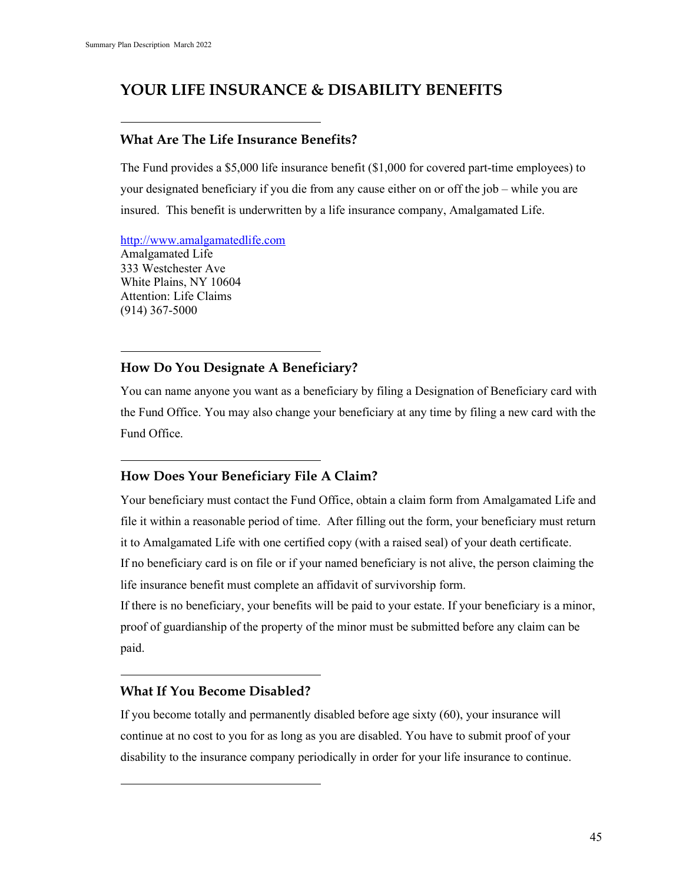# **YOUR LIFE INSURANCE & DISABILITY BENEFITS**

#### **What Are The Life Insurance Benefits?**

The Fund provides a \$5,000 life insurance benefit (\$1,000 for covered part-time employees) to your designated beneficiary if you die from any cause either on or off the job – while you are insured. This benefit is underwritten by a life insurance company, Amalgamated Life.

[http://www.amalgamatedlife.com](http://www.amalgamatedlife.com/) Amalgamated Life 333 Westchester Ave White Plains, NY 10604 Attention: Life Claims (914) 367-5000

# **How Do You Designate A Beneficiary?**

You can name anyone you want as a beneficiary by filing a Designation of Beneficiary card with the Fund Office. You may also change your beneficiary at any time by filing a new card with the Fund Office.

# **How Does Your Beneficiary File A Claim?**

Your beneficiary must contact the Fund Office, obtain a claim form from Amalgamated Life and file it within a reasonable period of time. After filling out the form, your beneficiary must return it to Amalgamated Life with one certified copy (with a raised seal) of your death certificate. If no beneficiary card is on file or if your named beneficiary is not alive, the person claiming the life insurance benefit must complete an affidavit of survivorship form.

If there is no beneficiary, your benefits will be paid to your estate. If your beneficiary is a minor, proof of guardianship of the property of the minor must be submitted before any claim can be paid.

#### **What If You Become Disabled?**

If you become totally and permanently disabled before age sixty (60), your insurance will continue at no cost to you for as long as you are disabled. You have to submit proof of your disability to the insurance company periodically in order for your life insurance to continue.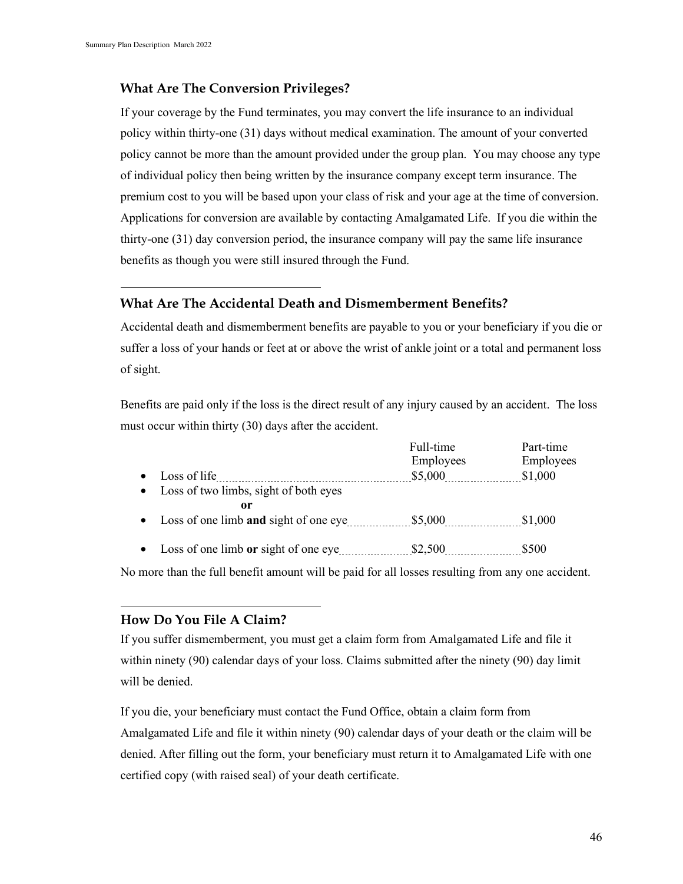# **What Are The Conversion Privileges?**

If your coverage by the Fund terminates, you may convert the life insurance to an individual policy within thirty-one (31) days without medical examination. The amount of your converted policy cannot be more than the amount provided under the group plan. You may choose any type of individual policy then being written by the insurance company except term insurance. The premium cost to you will be based upon your class of risk and your age at the time of conversion. Applications for conversion are available by contacting Amalgamated Life. If you die within the thirty-one (31) day conversion period, the insurance company will pay the same life insurance benefits as though you were still insured through the Fund.

# **What Are The Accidental Death and Dismemberment Benefits?**

Accidental death and dismemberment benefits are payable to you or your beneficiary if you die or suffer a loss of your hands or feet at or above the wrist of ankle joint or a total and permanent loss of sight.

Benefits are paid only if the loss is the direct result of any injury caused by an accident. The loss must occur within thirty (30) days after the accident.

|           |                                         | Full-time | Part-time |
|-----------|-----------------------------------------|-----------|-----------|
|           |                                         | Employees | Employees |
| $\bullet$ | Loss of life                            | \$5,000   | \$1,000   |
|           | • Loss of two limbs, sight of both eyes |           |           |
|           | 0r                                      |           |           |
|           | • Loss of one limb and sight of one eye | \$5,000   | \$1,000   |
|           |                                         |           |           |
| $\bullet$ | Loss of one limb or sight of one eye    | \$2,500   | \$500     |

No more than the full benefit amount will be paid for all losses resulting from any one accident.

# **How Do You File A Claim?**

If you suffer dismemberment, you must get a claim form from Amalgamated Life and file it within ninety (90) calendar days of your loss. Claims submitted after the ninety (90) day limit will be denied.

If you die, your beneficiary must contact the Fund Office, obtain a claim form from Amalgamated Life and file it within ninety (90) calendar days of your death or the claim will be denied. After filling out the form, your beneficiary must return it to Amalgamated Life with one certified copy (with raised seal) of your death certificate.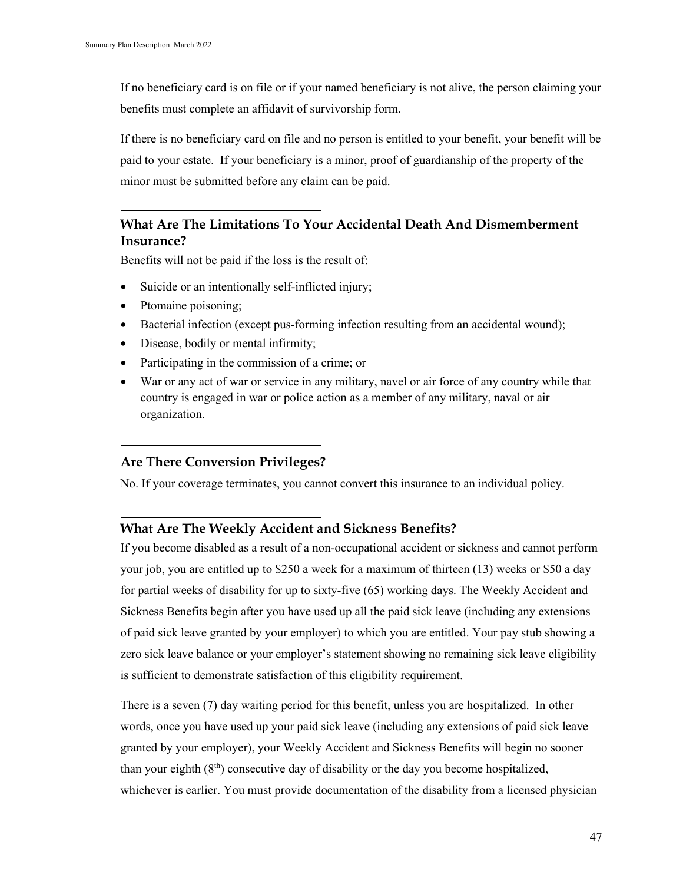If no beneficiary card is on file or if your named beneficiary is not alive, the person claiming your benefits must complete an affidavit of survivorship form.

If there is no beneficiary card on file and no person is entitled to your benefit, your benefit will be paid to your estate. If your beneficiary is a minor, proof of guardianship of the property of the minor must be submitted before any claim can be paid.

# **What Are The Limitations To Your Accidental Death And Dismemberment Insurance?**

Benefits will not be paid if the loss is the result of:

- Suicide or an intentionally self-inflicted injury;
- Ptomaine poisoning;
- Bacterial infection (except pus-forming infection resulting from an accidental wound);
- Disease, bodily or mental infirmity;
- Participating in the commission of a crime; or
- War or any act of war or service in any military, navel or air force of any country while that country is engaged in war or police action as a member of any military, naval or air organization.

#### **Are There Conversion Privileges?**

No. If your coverage terminates, you cannot convert this insurance to an individual policy.

#### **What Are The Weekly Accident and Sickness Benefits?**

If you become disabled as a result of a non-occupational accident or sickness and cannot perform your job, you are entitled up to \$250 a week for a maximum of thirteen (13) weeks or \$50 a day for partial weeks of disability for up to sixty-five (65) working days. The Weekly Accident and Sickness Benefits begin after you have used up all the paid sick leave (including any extensions of paid sick leave granted by your employer) to which you are entitled. Your pay stub showing a zero sick leave balance or your employer's statement showing no remaining sick leave eligibility is sufficient to demonstrate satisfaction of this eligibility requirement.

There is a seven (7) day waiting period for this benefit, unless you are hospitalized. In other words, once you have used up your paid sick leave (including any extensions of paid sick leave granted by your employer), your Weekly Accident and Sickness Benefits will begin no sooner than your eighth  $(8<sup>th</sup>)$  consecutive day of disability or the day you become hospitalized, whichever is earlier. You must provide documentation of the disability from a licensed physician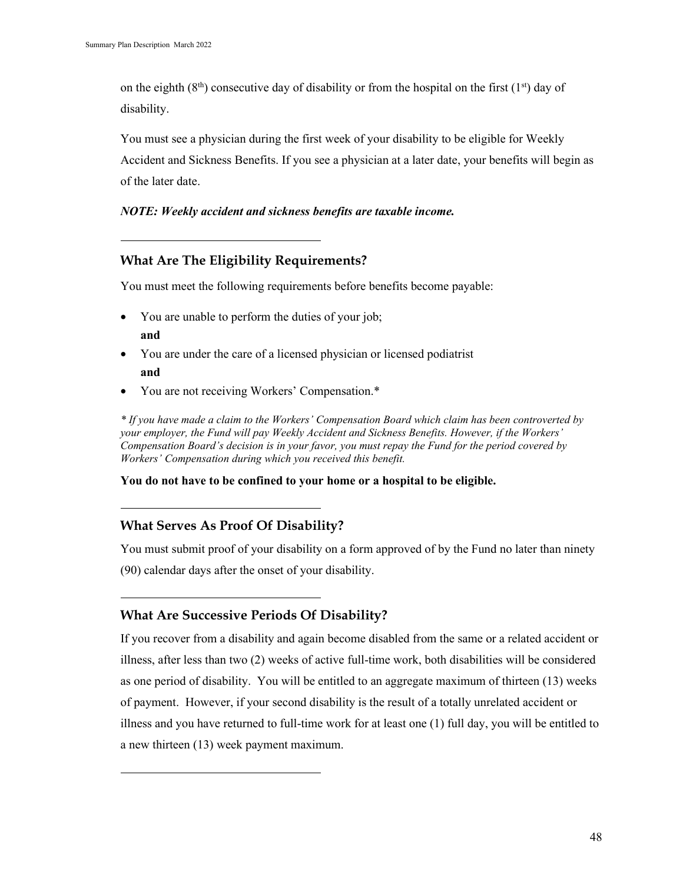on the eighth  $(8<sup>th</sup>)$  consecutive day of disability or from the hospital on the first  $(1<sup>st</sup>)$  day of disability.

You must see a physician during the first week of your disability to be eligible for Weekly Accident and Sickness Benefits. If you see a physician at a later date, your benefits will begin as of the later date.

#### *NOTE: Weekly accident and sickness benefits are taxable income.*

# **What Are The Eligibility Requirements?**

You must meet the following requirements before benefits become payable:

- You are unable to perform the duties of your job; **and**
- You are under the care of a licensed physician or licensed podiatrist **and**
- You are not receiving Workers' Compensation.\*

*\* If you have made a claim to the Workers' Compensation Board which claim has been controverted by your employer, the Fund will pay Weekly Accident and Sickness Benefits. However, if the Workers' Compensation Board's decision is in your favor, you must repay the Fund for the period covered by Workers' Compensation during which you received this benefit.*

**You do not have to be confined to your home or a hospital to be eligible.**

# **What Serves As Proof Of Disability?**

You must submit proof of your disability on a form approved of by the Fund no later than ninety (90) calendar days after the onset of your disability.

# **What Are Successive Periods Of Disability?**

If you recover from a disability and again become disabled from the same or a related accident or illness, after less than two (2) weeks of active full-time work, both disabilities will be considered as one period of disability. You will be entitled to an aggregate maximum of thirteen (13) weeks of payment. However, if your second disability is the result of a totally unrelated accident or illness and you have returned to full-time work for at least one (1) full day, you will be entitled to a new thirteen (13) week payment maximum.